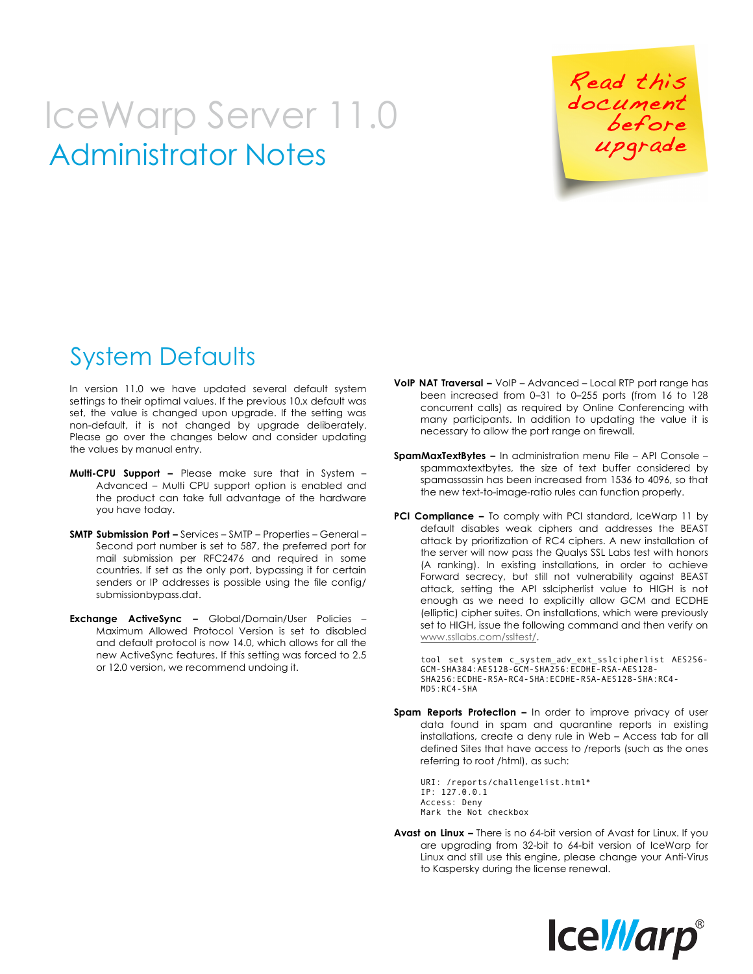## Administrator Notes IceWarp Server 11.0

 Read this document before

## System Defaults

In version 11.0 we have updated several default system settings to their optimal values. If the previous 10.x default was set, the value is changed upon upgrade. If the setting was non-default, it is not changed by upgrade deliberately. Please go over the changes below and consider updating the values by manual entry.

- **Multi-CPU Support –** Please make sure that in System Advanced – Multi CPU support option is enabled and the product can take full advantage of the hardware you have today.
- **SMTP Submission Port –** Services SMTP Properties General Second port number is set to 587, the preferred port for mail submission per RFC2476 and required in some countries. If set as the only port, bypassing it for certain senders or IP addresses is possible using the file config/ submissionbypass.dat.
- **Exchange ActiveSync –** Global/Domain/User Policies Maximum Allowed Protocol Version is set to disabled and default protocol is now 14.0, which allows for all the new ActiveSync features. If this setting was forced to 2.5 or 12.0 version, we recommend undoing it.
- **VoIP NAT Traversal –** VoIP Advanced Local RTP port range has been increased from 0–31 to 0–255 ports (from 16 to 128 concurrent calls) as required by Online Conferencing with many participants. In addition to updating the value it is necessary to allow the port range on firewall.
- **SpamMaxTextBytes –** In administration menu File API Console spammaxtextbytes, the size of text buffer considered by spamassassin has been increased from 1536 to 4096, so that the new text-to-image-ratio rules can function properly.
- **PCI Compliance –** To comply with PCI standard, IceWarp 11 by default disables weak ciphers and addresses the BEAST attack by prioritization of RC4 ciphers. A new installation of the server will now pass the Qualys SSL Labs test with honors (A ranking). In existing installations, in order to achieve Forward secrecy, but still not vulnerability against BEAST attack, setting the API sslcipherlist value to HIGH is not enough as we need to explicitly allow GCM and ECDHE (elliptic) cipher suites. On installations, which were previously set to HIGH, issue the following command and then verify on www.ssllabs.com/ssltest/.

tool set system c\_system\_adv\_ext\_sslcipherlist AES256- GCM-SHA384:AES128-GCM-SHA256:ECDHE-RSA-AES128- SHA256:ECDHE-RSA-RC4-SHA:ECDHE-RSA-AES128-SHA:RC4- MD5:RC4-SHA

**Spam Reports Protection –** In order to improve privacy of user data found in spam and quarantine reports in existing installations, create a deny rule in Web – Access tab for all defined Sites that have access to /reports (such as the ones referring to root /html), as such:

 URI: /reports/challengelist.html\* IP: 127.0.0.1 Access: Deny Mark the Not checkbox

**Avast on Linux –** There is no 64-bit version of Avast for Linux. If you are upgrading from 32-bit to 64-bit version of IceWarp for Linux and still use this engine, please change your Anti-Virus to Kaspersky during the license renewal.

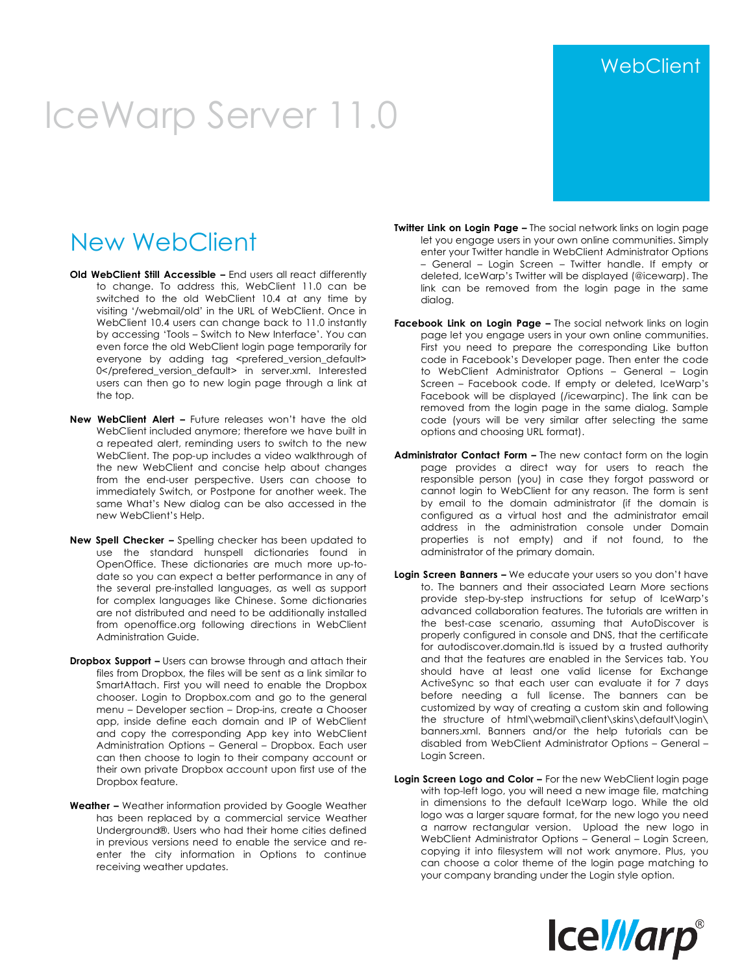# IceWarp Server 11.0

#### New WebClient

- **Old WebClient Still Accessible –** End users all react differently to change. To address this, WebClient 11.0 can be switched to the old WebClient 10.4 at any time by visiting '/webmail/old' in the URL of WebClient. Once in WebClient 10.4 users can change back to 11.0 instantly by accessing 'Tools – Switch to New Interface'. You can even force the old WebClient login page temporarily for everyone by adding tag <prefered\_version\_default> 0</prefered\_version\_default> in server.xml. Interested users can then go to new login page through a link at the top.
- **New WebClient Alert –** Future releases won't have the old WebClient included anymore; therefore we have built in a repeated alert, reminding users to switch to the new WebClient. The pop-up includes a video walkthrough of the new WebClient and concise help about changes from the end-user perspective. Users can choose to immediately Switch, or Postpone for another week. The same What's New dialog can be also accessed in the new WebClient's Help.
- **New Spell Checker –** Spelling checker has been updated to use the standard hunspell dictionaries found in OpenOffice. These dictionaries are much more up-todate so you can expect a better performance in any of the several pre-installed languages, as well as support for complex languages like Chinese. Some dictionaries are not distributed and need to be additionally installed from openoffice.org following directions in WebClient Administration Guide.
- **Dropbox Support –** Users can browse through and attach their files from Dropbox, the files will be sent as a link similar to SmartAttach. First you will need to enable the Dropbox chooser. Login to Dropbox.com and go to the general menu – Developer section – Drop-ins, create a Chooser app, inside define each domain and IP of WebClient and copy the corresponding App key into WebClient Administration Options – General – Dropbox. Each user can then choose to login to their company account or their own private Dropbox account upon first use of the Dropbox feature.
- **Weather –** Weather information provided by Google Weather has been replaced by a commercial service Weather Underground®. Users who had their home cities defined in previous versions need to enable the service and reenter the city information in Options to continue receiving weather updates.
- **Twitter Link on Login Page –** The social network links on login page let you engage users in your own online communities. Simply enter your Twitter handle in WebClient Administrator Options – General – Login Screen – Twitter handle. If empty or deleted, IceWarp's Twitter will be displayed (@icewarp). The link can be removed from the login page in the same dialog.
- **Facebook Link on Login Page -** The social network links on login page let you engage users in your own online communities. First you need to prepare the corresponding Like button code in Facebook's Developer page. Then enter the code to WebClient Administrator Options – General – Login Screen – Facebook code. If empty or deleted, IceWarp's Facebook will be displayed (/icewarpinc). The link can be removed from the login page in the same dialog. Sample code (yours will be very similar after selecting the same options and choosing URL format).
- **Administrator Contact Form –** The new contact form on the login page provides a direct way for users to reach the responsible person (you) in case they forgot password or cannot login to WebClient for any reason. The form is sent by email to the domain administrator (if the domain is configured as a virtual host and the administrator email address in the administration console under Domain properties is not empty) and if not found, to the administrator of the primary domain.
- **Login Screen Banners –** We educate your users so you don't have to. The banners and their associated Learn More sections provide step-by-step instructions for setup of IceWarp's advanced collaboration features. The tutorials are written in the best-case scenario, assuming that AutoDiscover is properly configured in console and DNS, that the certificate for autodiscover.domain.tld is issued by a trusted authority and that the features are enabled in the Services tab. You should have at least one valid license for Exchange ActiveSync so that each user can evaluate it for 7 days before needing a full license. The banners can be customized by way of creating a custom skin and following the structure of html\webmail\client\skins\default\login\ banners.xml. Banners and/or the help tutorials can be disabled from WebClient Administrator Options – General – Login Screen.
- **Login Screen Logo and Color –** For the new WebClient login page with top-left logo, you will need a new image file, matching in dimensions to the default IceWarp logo. While the old logo was a larger square format, for the new logo you need a narrow rectangular version. Upload the new logo in WebClient Administrator Options – General – Login Screen, copying it into filesystem will not work anymore. Plus, you can choose a color theme of the login page matching to your company branding under the Login style option.



#### **WebClient**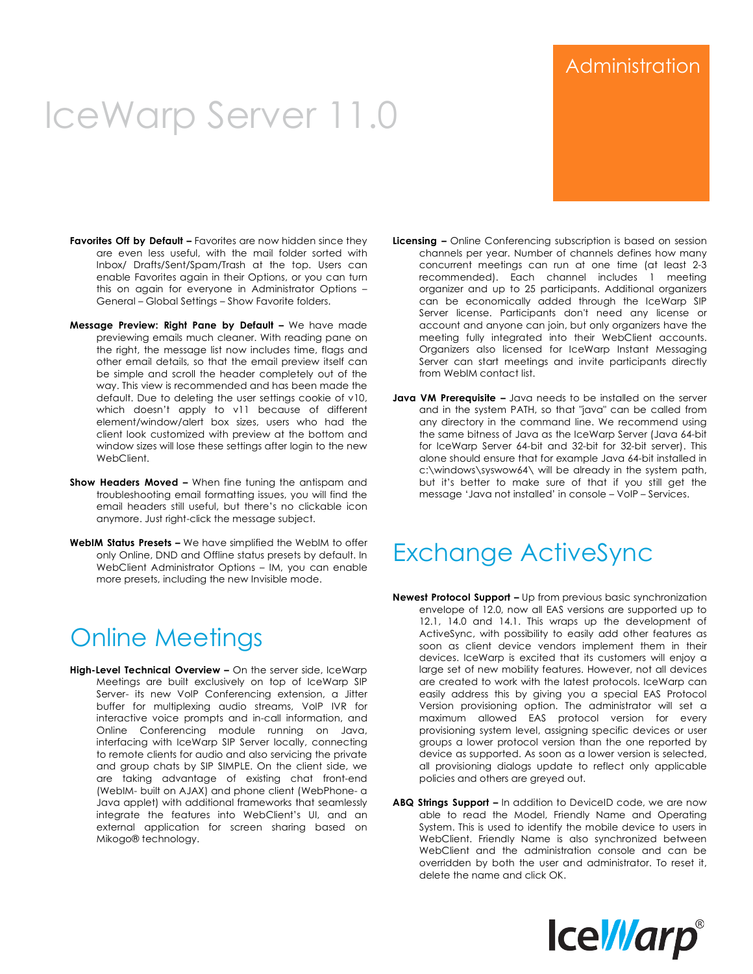## IceWarp Server 11.0

- **Favorites Off by Default –** Favorites are now hidden since they are even less useful, with the mail folder sorted with Inbox/ Drafts/Sent/Spam/Trash at the top. Users can enable Favorites again in their Options, or you can turn this on again for everyone in Administrator Options – General – Global Settings – Show Favorite folders.
- **Message Preview: Right Pane by Default –** We have made previewing emails much cleaner. With reading pane on the right, the message list now includes time, flags and other email details, so that the email preview itself can be simple and scroll the header completely out of the way. This view is recommended and has been made the default. Due to deleting the user settings cookie of v10, which doesn't apply to v11 because of different element/window/alert box sizes, users who had the client look customized with preview at the bottom and window sizes will lose these settings after login to the new WebClient.
- **Show Headers Moved –** When fine tuning the antispam and troubleshooting email formatting issues, you will find the email headers still useful, but there's no clickable icon anymore. Just right-click the message subject.
- **WebIM Status Presets –** We have simplified the WebIM to offer only Online, DND and Offline status presets by default. In WebClient Administrator Options – IM, you can enable more presets, including the new Invisible mode.

### Online Meetings

**High-Level Technical Overview –** On the server side, IceWarp Meetings are built exclusively on top of IceWarp SIP Server- its new VoIP Conferencing extension, a Jitter buffer for multiplexing audio streams, VoIP IVR for interactive voice prompts and in-call information, and Online Conferencing module running on Java, interfacing with IceWarp SIP Server locally, connecting to remote clients for audio and also servicing the private and group chats by SIP SIMPLE. On the client side, we are taking advantage of existing chat front-end (WebIM- built on AJAX) and phone client (WebPhone- a Java applet) with additional frameworks that seamlessly integrate the features into WebClient's UI, and an external application for screen sharing based on Mikogo® technology.

- **Licensing –** Online Conferencing subscription is based on session channels per year. Number of channels defines how many concurrent meetings can run at one time (at least 2-3 recommended). Each channel includes 1 meeting organizer and up to 25 participants. Additional organizers can be economically added through the IceWarp SIP Server license. Participants don't need any license or account and anyone can join, but only organizers have the meeting fully integrated into their WebClient accounts. Organizers also licensed for IceWarp Instant Messaging Server can start meetings and invite participants directly from WebIM contact list.
- **Java VM Prerequisite –** Java needs to be installed on the server and in the system PATH, so that "java" can be called from any directory in the command line. We recommend using the same bitness of Java as the IceWarp Server (Java 64-bit for IceWarp Server 64-bit and 32-bit for 32-bit server). This alone should ensure that for example Java 64-bit installed in c:\windows\syswow64\ will be already in the system path, but it's better to make sure of that if you still get the message 'Java not installed' in console – VoIP – Services.

### Exchange ActiveSync

- **Newest Protocol Support –** Up from previous basic synchronization envelope of 12.0, now all EAS versions are supported up to 12.1, 14.0 and 14.1. This wraps up the development of ActiveSync, with possibility to easily add other features as soon as client device vendors implement them in their devices. IceWarp is excited that its customers will enjoy a large set of new mobility features. However, not all devices are created to work with the latest protocols. IceWarp can easily address this by giving you a special EAS Protocol Version provisioning option. The administrator will set a maximum allowed EAS protocol version for every provisioning system level, assigning specific devices or user groups a lower protocol version than the one reported by device as supported. As soon as a lower version is selected, all provisioning dialogs update to reflect only applicable policies and others are greyed out.
- **ABQ Strings Support –** In addition to DeviceID code, we are now able to read the Model, Friendly Name and Operating System. This is used to identify the mobile device to users in WebClient. Friendly Name is also synchronized between WebClient and the administration console and can be overridden by both the user and administrator. To reset it, delete the name and click OK.



#### Administration